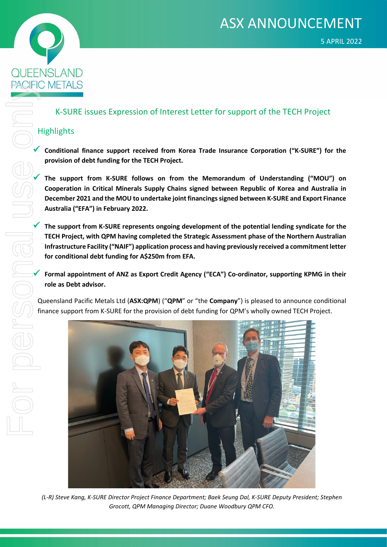



## K-SURE issues Expression of Interest Letter for support of the TECH Project

## **Highlights**

**provision of debt funding for the TECH Project.**

Conditional finance support received from Korea Trade Insurance Corporation ("K-SURE") for the<br>
From Support from K-SURE follows on from the Memorandum of Understanding ("MOU") on<br>
Cooperation in Critical Minerals Supply C **The support from K-SURE follows on from the Memorandum of Understanding ("MOU") on Cooperation in Critical Minerals Supply Chains signed between Republic of Korea and Australia in December 2021 and the MOU to undertake joint financings signed between K-SURE and Export Finance Australia ("EFA") in February 2022.**

 **The support from K-SURE represents ongoing development of the potential lending syndicate for the TECH Project, with QPM having completed the Strategic Assessment phase of the Northern Australian Infrastructure Facility ("NAIF") application process and having previously received a commitment letter for conditional debt funding for A\$250m from EFA.**

 **Formal appointment of ANZ as Export Credit Agency ("ECA") Co-ordinator, supporting KPMG in their role as Debt advisor.**

Queensland Pacific Metals Ltd (**ASX:QPM**) ("**QPM**" or "the **Company**") is pleased to announce conditional finance support from K-SURE for the provision of debt funding for QPM's wholly owned TECH Project.



*(L-R) Steve Kang, K-SURE Director Project Finance Department; Baek Seung Dal, K-SURE Deputy President; Stephen Grocott, QPM Managing Director; Duane Woodbury QPM CFO.*